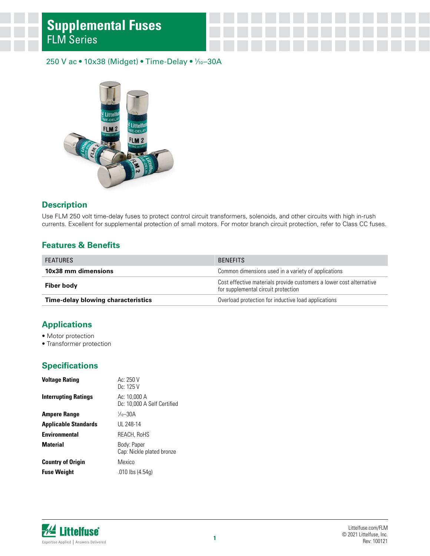#### 250 V ac • 10x38 (Midget) • Time-Delay • 1 ⁄10–30A



#### **Description**

Use FLM 250 volt time-delay fuses to protect control circuit transformers, solenoids, and other circuits with high in-rush currents. Excellent for supplemental protection of small motors. For motor branch circuit protection, refer to Class CC fuses.

#### **Features & Benefits**

| <b>FEATURES</b>                           | <b>BENFFITS</b>                                                                                            |  |  |
|-------------------------------------------|------------------------------------------------------------------------------------------------------------|--|--|
| 10x38 mm dimensions                       | Common dimensions used in a variety of applications                                                        |  |  |
| Fiber body                                | Cost effective materials provide customers a lower cost alternative<br>for supplemental circuit protection |  |  |
| <b>Time-delay blowing characteristics</b> | Overload protection for inductive load applications                                                        |  |  |

#### **Applications**

- Motor protection
- Transformer protection

#### **Specifications**

| <b>Voltage Rating</b>       | Ac: 250 V<br>Dc: 125 V                      |
|-----------------------------|---------------------------------------------|
| <b>Interrupting Ratings</b> | Ac: 10,000 A<br>Dc: 10,000 A Self Certified |
| <b>Ampere Range</b>         | $\frac{1}{10} - 30A$                        |
| <b>Applicable Standards</b> | UL 248-14                                   |
| <b>Environmental</b>        | REACH, RoHS                                 |
| <b>Material</b>             | Body: Paper<br>Cap: Nickle plated bronze    |
| <b>Country of Origin</b>    | Mexico                                      |
| <b>Fuse Weight</b>          | $.010$ lbs $(4.54q)$                        |

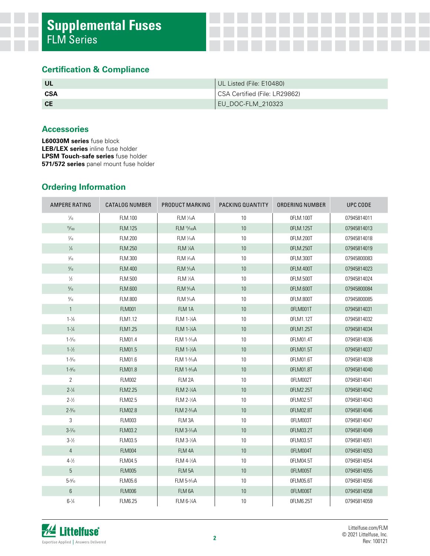#### **Certification & Compliance**

| <b>UL</b> | UL Listed (File: E10480)      |
|-----------|-------------------------------|
| CSA       | CSA Certified (File: LR29862) |
| <b>CE</b> | EU_DOC-FLM_210323             |

#### **Accessories**

**L60030M series** fuse block **LEB/LEX series** inline fuse holder **LPSM Touch-safe series** fuse holder **571/572 series** panel mount fuse holder

### **Ordering Information**

| AMPERE RATING      | <b>CATALOG NUMBER</b> | PRODUCT MARKING       | PACKING QUANTITY<br>ORDERING NUMBER |           | UPC CODE                   |  |
|--------------------|-----------------------|-----------------------|-------------------------------------|-----------|----------------------------|--|
| $\frac{1}{10}$     | FLM.100               | FLM 1/10A             | 10<br>OFLM.100T                     |           | 07945814011                |  |
| 15/100             | <b>FLM.125</b>        | FLM 15/100A           | $10$                                | 0FLM.125T | 07945814013                |  |
| $\frac{2}{10}$     | <b>FLM.200</b>        | FLM 3/10A             | 10                                  | OFLM.200T | 07945814018                |  |
| $\frac{1}{4}$      | <b>FLM.250</b>        | FLM 1/4A              | 10                                  | OFLM.250T | 07945814019                |  |
| $\frac{3}{10}$     | <b>FLM.300</b>        | FLM 3/10A             | 10                                  | OFLM.300T | 07945800083                |  |
| $\frac{4}{10}$     | FLM.400               | FLM <sup>1</sup> /10A | $10$                                | OFLM.400T | 07945814023                |  |
| $\frac{1}{2}$      | <b>FLM.500</b>        | FLM 1/2A              | 10                                  | OFLM.500T | 07945814024<br>07945800084 |  |
| $\frac{6}{10}$     | FLM.600               | FLM %0A               | $10$                                | OFLM.600T |                            |  |
| $\frac{8}{10}$     | <b>FLM.800</b>        | FLM %0A               | 10                                  | OFLM.800T | 07945800085                |  |
| $\mathbf{1}$       | <b>FLM001</b>         | FLM 1A                | 10                                  | OFLM001T  | 07945814031                |  |
| $1 - \frac{1}{8}$  | FLM1.12               | FLM 1-1/8A            | 10                                  | OFLM1.12T | 07945814032                |  |
| $1 - \frac{1}{4}$  | <b>FLM1.25</b>        | FLM 1-1/4A            | $10$                                | OFLM1.25T | 07945814034                |  |
| $1 - \frac{4}{10}$ | FLM01.4               | FLM 1-1/10A           | 10                                  | OFLM01.4T | 07945814036                |  |
| $1 - \frac{1}{2}$  | FLM01.5               | FLM 1-1/2A            | 10                                  | OFLM01.5T | 07945814037                |  |
| $1 - \frac{6}{10}$ | FLM01.6               | $FLM 1-10A$           | 10                                  | OFLM01.6T | 07945814038                |  |
| $1 - \frac{8}{10}$ | FLM01.8               | FLM 1-% A             | 10                                  | OFLM01.8T | 07945814040                |  |
| $\mathbf{2}$       | FLM002                | FLM 2A                | 10                                  | 0FLM002T  | 07945814041                |  |
| $2 - \frac{1}{4}$  | <b>FLM2.25</b>        | FLM 2-1/4A            | 10                                  | OFLM2.25T | 07945814042                |  |
| $2 - \frac{1}{2}$  | FLM02.5               | <b>FLM 2-1/2A</b>     | 10                                  | OFLM02.5T | 07945814043                |  |
| $2 - \frac{8}{10}$ | <b>FLM02.8</b>        | FLM 2-% oA            | 10                                  | OFLM02.8T | 07945814046                |  |
| 3                  | <b>FLM003</b>         | FLM 3A                | 10                                  | OFLM003T  | 07945814047                |  |
| $3 - \frac{2}{10}$ | <b>FLM03.2</b>        | FLM 3-3/10A           | $10$                                | OFLM03.2T | 07945814049                |  |
| $3 - \frac{1}{2}$  | FLM03.5               | FLM 3-1/2A            | 10                                  | OFLM03.5T | 07945814051                |  |
| $\overline{4}$     | <b>FLM004</b>         | FLM 4A                | $10$                                | 0FLM004T  | 07945814053                |  |
| $4 - \frac{1}{2}$  | FLM04.5               | FLM 4-1/2A            | 10                                  | OFLM04.5T | 07945814054                |  |
| 5                  | <b>FLM005</b>         | FLM 5A                | 10                                  | 0FLM005T  | 07945814055                |  |
| $5 - 6/10$         | FLM05.6               | $FLM 5-%0A$           | 10                                  | OFLM05.6T | 07945814056                |  |
| 6                  | <b>FLM006</b>         | FLM 6A                | $10$                                | OFLM006T  | 07945814058                |  |
| $6 - \frac{1}{4}$  | <b>FLM6.25</b>        | FLM 6-1/4A            | $10$                                | OFLM6.25T | 07945814059                |  |

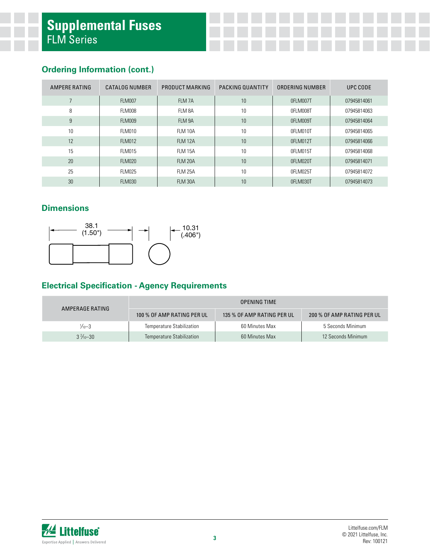### **Ordering Information (cont.)**

| AMPERE RATING | CATALOG NUMBER | PRODUCT MARKING | PACKING QUANTITY | ORDERING NUMBER | UPC CODE    |
|---------------|----------------|-----------------|------------------|-----------------|-------------|
| 7             | <b>FLM007</b>  | FLM 7A          | 10               | 0FLM007T        | 07945814061 |
| 8             | FLM008         | FLM 8A          | 10               | 0FLM008T        | 07945814063 |
| 9             | <b>FLM009</b>  | FLM 9A          | 10               | 0FLM009T        | 07945814064 |
| 10            | FLM010         | FLM 10A         | 10               | 0FLM010T        | 07945814065 |
| 12            | <b>FLM012</b>  | <b>FLM 12A</b>  | 10               | 0FLM012T        | 07945814066 |
| 15            | <b>FLM015</b>  | <b>FLM 15A</b>  | 10               | 0FLM015T        | 07945814068 |
| 20            | <b>FLM020</b>  | <b>FLM 20A</b>  | 10               | 0FLM020T        | 07945814071 |
| 25            | <b>FLM025</b>  | <b>FLM 25A</b>  | 10               | 0FLM025T        | 07945814072 |
| 30            | <b>FLM030</b>  | FLM 30A         | 10               | 0FLM030T        | 07945814073 |

### **Dimensions**



### **Electrical Specification - Agency Requirements**

| AMPERAGE RATING      | OPENING TIME                     |                            |                            |  |  |
|----------------------|----------------------------------|----------------------------|----------------------------|--|--|
|                      | 100 % OF AMP RATING PER UL       | 135 % OF AMP RATING PER UL | 200 % OF AMP RATING PER UL |  |  |
| $\frac{1}{10} - 3$   | <b>Temperature Stabilization</b> | 60 Minutes Max             | 5 Seconds Minimum          |  |  |
| $3\frac{2}{10} - 30$ | Temperature Stabilization        | 60 Minutes Max             | 12 Seconds Minimum         |  |  |

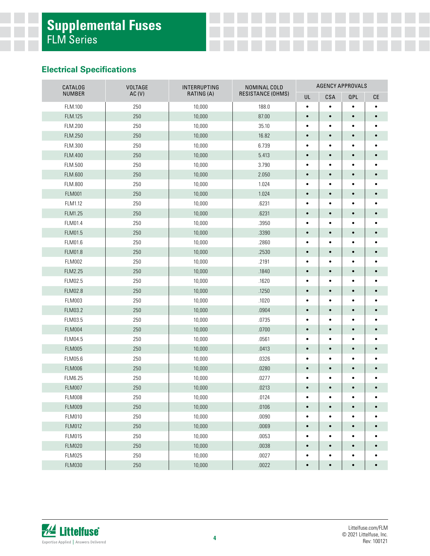### **Electrical Specifications**

| <b>CATALOG</b> | <b>VOLTAGE</b> | INTERRUPTING | NOMINAL COLD      |           |           |           | <b>AGENCY APPROVALS</b> |  |  |  |
|----------------|----------------|--------------|-------------------|-----------|-----------|-----------|-------------------------|--|--|--|
| <b>NUMBER</b>  | AC(V)          | RATING (A)   | RESISTANCE (OHMS) | UL        | CSA       | QPL       | <b>CE</b>               |  |  |  |
| FLM.100        | 250            | 10,000       | 188.0             | $\bullet$ | $\bullet$ | $\bullet$ | $\bullet$               |  |  |  |
| FLM.125        | 250            | 10,000       | 87.00             | $\bullet$ | $\bullet$ | $\bullet$ | $\bullet$               |  |  |  |
| FLM.200        | 250            | 10,000       | 35.10             | $\bullet$ | $\bullet$ | $\bullet$ |                         |  |  |  |
| FLM.250        | 250            | 10,000       | 16.82             | $\bullet$ |           | $\bullet$ |                         |  |  |  |
| FLM.300        | 250            | 10,000       | 6.739             | $\bullet$ | ٠         | $\bullet$ |                         |  |  |  |
| FLM.400        | 250            | 10,000       | 5.413             | $\bullet$ | $\bullet$ | $\bullet$ |                         |  |  |  |
| FLM.500        | 250            | 10,000       | 3.790             | $\bullet$ | $\bullet$ | $\bullet$ |                         |  |  |  |
| FLM.600        | 250            | 10,000       | 2.050             | $\bullet$ | $\bullet$ | $\bullet$ |                         |  |  |  |
| FLM.800        | 250            | 10,000       | 1.024             | $\bullet$ | $\bullet$ | $\bullet$ |                         |  |  |  |
| <b>FLM001</b>  | 250            | 10,000       | 1.024             | $\bullet$ | $\bullet$ | $\bullet$ |                         |  |  |  |
| FLM1.12        | 250            | 10,000       | .6231             | ٠         | $\bullet$ | $\bullet$ |                         |  |  |  |
| FLM1.25        | 250            | 10,000       | .6231             | $\bullet$ | $\bullet$ | $\bullet$ |                         |  |  |  |
| FLM01.4        | 250            | 10,000       | .3950             | $\bullet$ | $\bullet$ | $\bullet$ |                         |  |  |  |
| FLM01.5        | 250            | 10,000       | .3390             | $\bullet$ |           | $\bullet$ |                         |  |  |  |
| FLM01.6        | 250            | 10,000       | .2860             | $\bullet$ | $\bullet$ | $\bullet$ |                         |  |  |  |
| FLM01.8        | 250            | 10,000       | .2530             | $\bullet$ | $\bullet$ | $\bullet$ |                         |  |  |  |
| <b>FLM002</b>  | 250            | 10,000       | .2191             | ٠         | ٠         | $\bullet$ |                         |  |  |  |
| FLM2.25        | 250            | 10,000       | .1840             | $\bullet$ | $\bullet$ | $\bullet$ |                         |  |  |  |
| FLM02.5        | 250            | 10,000       | .1620             | ٠         | ٠         | $\bullet$ |                         |  |  |  |
| FLM02.8        | 250            | 10,000       | .1250             | $\bullet$ | $\bullet$ | $\bullet$ |                         |  |  |  |
| <b>FLM003</b>  | 250            | 10,000       | .1020             | $\bullet$ | $\bullet$ | $\bullet$ |                         |  |  |  |
| FLM03.2        | 250            | 10,000       | .0904             | $\bullet$ | $\bullet$ | $\bullet$ |                         |  |  |  |
| FLM03.5        | 250            | 10,000       | .0735             | $\bullet$ | $\bullet$ | $\bullet$ |                         |  |  |  |
| <b>FLM004</b>  | 250            | 10,000       | .0700             | $\bullet$ |           | $\bullet$ |                         |  |  |  |
| FLM04.5        | 250            | 10,000       | .0561             | $\bullet$ | $\bullet$ | $\bullet$ |                         |  |  |  |
| <b>FLM005</b>  | 250            | 10,000       | .0413             | $\bullet$ | $\bullet$ | $\bullet$ |                         |  |  |  |
| FLM05.6        | 250            | 10,000       | .0326             | $\bullet$ | $\bullet$ | $\bullet$ |                         |  |  |  |
| <b>FLM006</b>  | 250            | 10,000       | .0280             | $\bullet$ | $\bullet$ | $\bullet$ |                         |  |  |  |
| FLM6.25        | 250            | 10,000       | .0277             | $\bullet$ |           | $\bullet$ |                         |  |  |  |
| <b>FLM007</b>  | 250            | 10,000       | .0213             | $\bullet$ |           | $\bullet$ |                         |  |  |  |
| FLM008         | 250            | 10,000       | .0124             | $\bullet$ | $\bullet$ | $\bullet$ |                         |  |  |  |
| <b>FLM009</b>  | 250            | 10,000       | .0106             | $\bullet$ | $\bullet$ | $\bullet$ | $\bullet$               |  |  |  |
| <b>FLM010</b>  | 250            | 10,000       | .0090             | $\bullet$ | $\bullet$ | $\bullet$ |                         |  |  |  |
| <b>FLM012</b>  | 250            | 10,000       | .0069             | $\bullet$ | $\bullet$ | $\bullet$ |                         |  |  |  |
| <b>FLM015</b>  | 250            | 10,000       | .0053             | $\bullet$ | ٠         | $\bullet$ |                         |  |  |  |
| <b>FLM020</b>  | 250            | 10,000       | .0038             | $\bullet$ | $\bullet$ | $\bullet$ |                         |  |  |  |
| <b>FLM025</b>  | 250            | 10,000       | .0027             | $\bullet$ | $\bullet$ | $\bullet$ |                         |  |  |  |
| <b>FLM030</b>  | $250\,$        | 10,000       | .0022             | $\bullet$ | $\bullet$ | $\bullet$ | $\bullet$               |  |  |  |